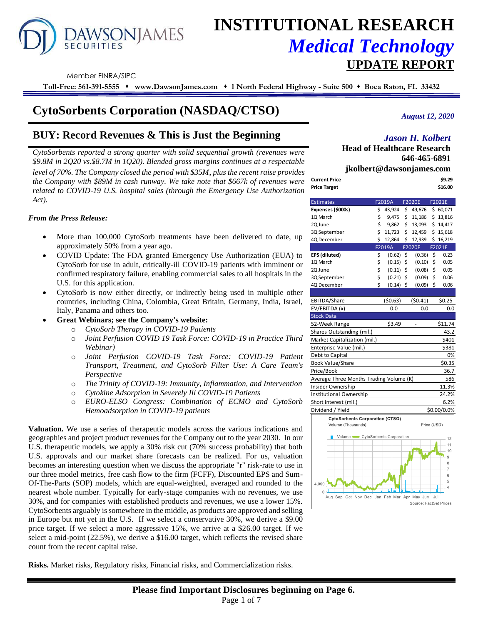# **AWSONJAMES SECURITIES**

# **INSTITUTIONAL RESEARCH** *Medical Technology*  **UPDATE REPORT**

Member FINRA/SIPC

**Toll-Free: 561-391-5555** ⬧ **www.DawsonJames.com** ⬧ **1 North Federal Highway - Suite 500** ⬧ **Boca Raton, FL 33432**

# **CytoSorbents Corporation (NASDAQ/CTSO)**

# **BUY: Record Revenues & This is Just the Beginning**

*CytoSorbents reported a strong quarter with solid sequential growth (revenues were \$9.8M in 2Q20 vs.\$8.7M in 1Q20). Blended gross margins continues at a respectable level of 70%. The Company closed the period with \$35M, plus the recent raise provides the Company with \$89M in cash runway. We take note that \$667k of revenues were related to COVID-19 U.S. hospital sales (through the Emergency Use Authorization Act).*

#### *From the Press Release:*

- More than 100,000 CytoSorb treatments have been delivered to date, up approximately 50% from a year ago.
- COVID Update: The FDA granted Emergency Use Authorization (EUA) to CytoSorb for use in adult, critically-ill COVID-19 patients with imminent or confirmed respiratory failure, enabling commercial sales to all hospitals in the U.S. for this application.
- CytoSorb is now either directly, or indirectly being used in multiple other countries, including China, Colombia, Great Britain, Germany, India, Israel, Italy, Panama and others too.
- **Great Webinars; see the Company's website:** 
	- o *CytoSorb Therapy in COVID-19 Patients*
	- o *Joint Perfusion COVID 19 Task Force: COVID-19 in Practice Third Webinar)*
	- o *Joint Perfusion COVID-19 Task Force: COVID-19 Patient Transport, Treatment, and CytoSorb Filter Use: A Care Team's Perspective*
	- o *The Trinity of COVID-19: Immunity, Inflammation, and Intervention*
	- o *Cytokine Adsorption in Severely Ill COVID-19 Patients*
	- o *EURO-ELSO Congress: Combination of ECMO and CytoSorb Hemoadsorption in COVID-19 patients*

**Valuation.** We use a series of therapeutic models across the various indications and geographies and project product revenues for the Company out to the year 2030. In our U.S. therapeutic models, we apply a 30% risk cut (70% success probability) that both U.S. approvals and our market share forecasts can be realized. For us, valuation becomes an interesting question when we discuss the appropriate "r" risk-rate to use in our three model metrics, free cash flow to the firm (FCFF), Discounted EPS and Sum-Of-The-Parts (SOP) models, which are equal-weighted, averaged and rounded to the nearest whole number. Typically for early-stage companies with no revenues, we use 30%, and for companies with established products and revenues, we use a lower 15%. CytoSorbents arguably is somewhere in the middle, as products are approved and selling in Europe but not yet in the U.S. If we select a conservative 30%, we derive a \$9.00 price target. If we select a more aggressive 15%, we arrive at a \$26.00 target. If we select a mid-point (22.5%), we derive a \$16.00 target, which reflects the revised share count from the recent capital raise.

**Risks.** Market risks, Regulatory risks, Financial risks, and Commercialization risks.

*August 12, 2020*

# *Jason H. Kolbert*

**Head of Healthcare Research 646-465-6891**

**jkolbert@dawsonjames.com**

| Current Price | \$9.29  |
|---------------|---------|
| Price Target  | \$16.00 |
|               |         |

| F2019A<br><b>F2020E</b><br>F2021E<br><b>Estimates</b>     |    |         |                     |                        |     |                |  |  |  |  |  |
|-----------------------------------------------------------|----|---------|---------------------|------------------------|-----|----------------|--|--|--|--|--|
| Expenses (\$000s)                                         | \$ | 43,924  | \$                  | 49,676                 |     | \$60,071       |  |  |  |  |  |
| 1Q March                                                  | \$ | 9,475   | \$                  | 11,186                 |     | \$13,816       |  |  |  |  |  |
| 2Q June                                                   | \$ | 9,862   | \$                  | 13,093                 |     | \$14,417       |  |  |  |  |  |
| 3Q September                                              | \$ | 11,723  | \$                  | 12,459                 |     | \$15,618       |  |  |  |  |  |
| 4Q December                                               | Ś  | 12,864  | \$                  | 12,939                 |     | \$16,219       |  |  |  |  |  |
|                                                           |    | F2019A  |                     | <b>F2020E</b>          |     | F2021E         |  |  |  |  |  |
| EPS (diluted)                                             | \$ | (0.62)  | \$                  | (0.36)                 | \$  | 0.23           |  |  |  |  |  |
| 1Q March                                                  | \$ | (0.15)  | \$                  | (0.10)                 | \$  | 0.05           |  |  |  |  |  |
| 2Q June                                                   | \$ | (0.11)  | \$                  | (0.08)                 | \$  | 0.05           |  |  |  |  |  |
| 3Q September                                              | \$ | (0.21)  | $\ddot{\mathsf{S}}$ | (0.09)                 | \$  | 0.06           |  |  |  |  |  |
| 4Q December                                               | Ś  | (0.14)  | \$                  | (0.09)                 | \$  | 0.06           |  |  |  |  |  |
|                                                           |    |         |                     |                        |     |                |  |  |  |  |  |
| EBITDA/Share                                              |    | (50.63) |                     | (50.41)                |     | \$0.25         |  |  |  |  |  |
| EV/EBITDA (x)                                             |    | 0.0     |                     | 0.0                    |     | 0.0            |  |  |  |  |  |
| <b>Stock Data</b>                                         |    |         |                     |                        |     |                |  |  |  |  |  |
| 52-Week Range                                             |    | \$3.49  |                     |                        |     | \$11.74        |  |  |  |  |  |
| Shares Outstanding (mil.)                                 |    |         |                     |                        |     | 43.2           |  |  |  |  |  |
| Market Capitalization (mil.)                              |    |         |                     |                        |     | \$401          |  |  |  |  |  |
| Enterprise Value (mil.)                                   |    |         |                     |                        |     | \$381          |  |  |  |  |  |
| Debt to Capital                                           |    |         |                     |                        |     | 0%             |  |  |  |  |  |
| Book Value/Share                                          |    |         |                     |                        |     | \$0.35         |  |  |  |  |  |
| Price/Book                                                |    |         |                     |                        |     | 36.7           |  |  |  |  |  |
| Average Three Months Trading Volume (K)                   |    |         |                     |                        |     | 586            |  |  |  |  |  |
| Insider Ownership                                         |    |         |                     |                        |     | 11.3%          |  |  |  |  |  |
| Institutional Ownership                                   |    |         |                     |                        |     | 24.2%          |  |  |  |  |  |
| Short interest (mil.)                                     |    |         |                     |                        |     | 6.2%           |  |  |  |  |  |
| Dividend / Yield                                          |    |         |                     |                        |     | \$0.00/0.0%    |  |  |  |  |  |
| <b>CytoSorbents Corporation (CTSO)</b>                    |    |         |                     |                        |     |                |  |  |  |  |  |
| Volume (Thousands)                                        |    |         |                     | Price (USD)            |     |                |  |  |  |  |  |
| Volume CytoSorbents Corporation                           |    |         |                     |                        |     |                |  |  |  |  |  |
|                                                           |    |         |                     |                        |     | 12<br>11       |  |  |  |  |  |
|                                                           |    |         |                     |                        |     | 10             |  |  |  |  |  |
|                                                           |    |         |                     |                        |     | 9              |  |  |  |  |  |
|                                                           |    |         |                     |                        |     | 8              |  |  |  |  |  |
|                                                           |    |         |                     |                        |     | 7<br>6         |  |  |  |  |  |
|                                                           |    |         |                     |                        |     | 5              |  |  |  |  |  |
| 4.000                                                     |    |         |                     |                        |     | $\overline{4}$ |  |  |  |  |  |
| $\Omega$ .<br>Aug Sep Oct Nov Dec Jan Feb Mar Apr May Jun |    |         |                     |                        | Jul |                |  |  |  |  |  |
|                                                           |    |         |                     | Source: EactSet Prices |     |                |  |  |  |  |  |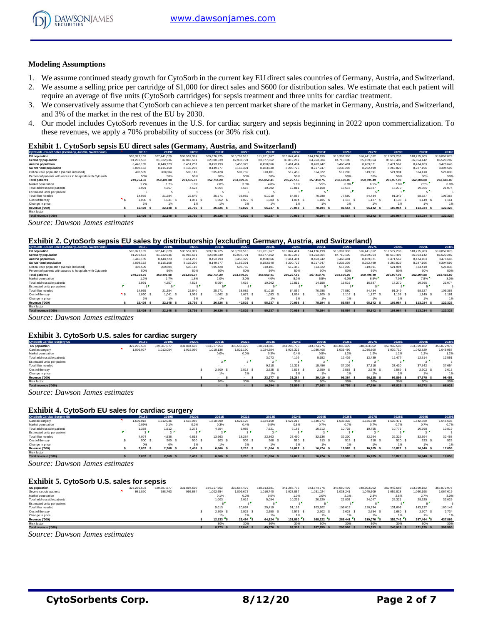

#### **Modeling Assumptions**

- 1. We assume continued steady growth for CytoSorb in the current key EU direct sales countries of Germany, Austria, and Switzerland.
- 2. We assume a selling price per cartridge of \$1,000 for direct sales and \$600 for distribution sales. We estimate that each patient will require an average of five units (CytoSorb cartridges) for sepsis treatment and three units for cardiac treatment.
- 3. We conservatively assume that CytoSorb can achieve a ten percent market share of the market in Germany, Austria, and Switzerland, and 3% of the market in the rest of the EU by 2030.
- 4. Our model includes CytoSorb revenues in the U.S. for cardiac surgery and sepsis beginning in 2022 upon commercialization. To these revenues, we apply a 70% probability of success (or 30% risk cut).

#### **Exhibit 1. CytoSorb sepsis EU direct sales (Germany, Austria, and Switzerland)**

| CytoSorb - Direct Sales (Germany, Austria, Switzerland)    | 2018E       | 2019E       | 2020E          | 2021E       | 2022E       | 2023E       | 2024E       | 2025E       | 2026E       | 2027E       | 2028E       | 2029E       | 2030E       |
|------------------------------------------------------------|-------------|-------------|----------------|-------------|-------------|-------------|-------------|-------------|-------------|-------------|-------------|-------------|-------------|
| EU population                                              | 506,327,109 | 507.441.029 | 508,557,399    | 509.676.225 | 510.797.513 | 511.921.267 | 513.047.494 | 514.176.199 | 515,307,386 | 516.441.062 | 517.577.233 | 518,715,903 | 519,857,078 |
| Germany population                                         | 81.202.563  | 81.632.936  | 82.065.591     | 82,500,539  | 82.937.791  | 83,377,362  | 83.819.262  | 84.263.504  | 84.710.100  | 85.159.064  | 85.610.407  | 86.064.142  | 86.520.282  |
| Austria population                                         | 8,446.189   | 8.448.723   | 8.451.257      | 8.453.793   | 8.456.329   | 8.458.866   | 8.461.404   | 8.463.942   | 8,466,481   | 8.469.021   | 8.471.562   | 8.474.103   | 8.476.646   |
| Switzerland population                                     | 8.098.152   | 8,115,158   | 8.132.200      | 8.149.277   | 8.166.391   | 8,183,540   | 8,200,726   | 8.217.947   | 8.235.205   | 8.252.499   | 8,269,829   | 8.287.196   | 8.304.599   |
| Critical care population (Sepsis included)                 | 498,509     | 500,804     | 503.110        | 505.428     | 507.759     | 510,101     | 512.455     | 514.822     | 517,200     | 519,591     | 521,994     | 524,410     | 526,838     |
| Percent of patients with access to hospitals with Cytosorb | 50%         | 50%         | 50%            | 50%         | 50%         | 50%         | 50%         | 50%         | 50%         | 50%         | 50%         | 50%         | 50%         |
| <b>Total patients</b>                                      | 249.254.60  | 250.401.88  | 251.555.07     | 252.714.20  | 253,879.30  | 255.050.41  | 256,227.55  | 257.410.75  | 258,600,06  | 259.795.49  | 260.997.08  | 262.204.88  | 263,418.89  |
| Market penetration                                         | 1.2%        | 1.7%        | 1.8%           | 2.0%        | 3.0%        | 4.0%        | 5.0%        | 5.5%        | 6.0%        | 6.5%        | 7.0%        | 7.5%        | 8.0%        |
| Total addressable patients                                 | 2.991       | 4.257       | 4.528          | 5.054       | 7.616       | 10.202      | 12.811      | 14.158      | 15.516      | 16,887      | 18.270      | 19.665      | 21.074      |
| Estimated units per patient                                |             |             |                |             |             |             |             |             |             |             |             |             |             |
| Total filter needed                                        | 14.955      | 21.284      | 22.640         | 25.271      | 38.082      | 51.010      | 64.057      | 70.788      | 77,580      | 84.434      | 91.349      | 98.327      | 105,368     |
| Cost of therapy                                            | 1.030       | 1.041 S     | 1.051<br>- \$  | 1.062 S     | 1.072 S     | $1.083$ \$  | 1.094       | $1,105$ S   | $1.116$ \$  | 1.127 S     | 1.138 S     | 1.149 S     | 1.161       |
| Change in price                                            | 1%          | 1%          | 1%             | 1%          | 1%          | 1%          | 1%          |             | 1%          | 1%          | 1%          | 1%          | 1%          |
| Revenue ('000)                                             | 15,408      | 22.148 S    | 23.795<br>- \$ | 26.826 S    | 40.829      | 55.237      | 70.058<br>- | 78.194 S    | 86,554      | 95.142 \$   | 103.964 S   | 113.024 \$  | 122,328     |
| Risk factor                                                |             |             |                |             |             |             |             |             |             |             |             |             |             |
| Total revenue ('000)                                       | 15,408 \$   | 22.148 \$   | 23.795 \$      | 26.826 S    | 40.829      | 55,237      | 70.058 \$   | 78.194 S    | 86.554 \$   | 95.142 \$   | 103.964 S   | 113,024 \$  | 122.328     |

*Source: Dawson James estimates*

#### **Exhibit 2. CytoSorb sepsis EU sales by distributorship (excluding Germany, Austria, and Switzerland)**

| CytoSorb - Direct Sales (Germany, Austria, Switzerland)    | 2018E         | 2019E       | 2020E         | 2021E       | 2022E       | 2023E       | 2024E       | 2025E       | 2026E       | 2027E       | 2028E       | 2029E       | 2030E       |
|------------------------------------------------------------|---------------|-------------|---------------|-------------|-------------|-------------|-------------|-------------|-------------|-------------|-------------|-------------|-------------|
| <b>EU</b> population                                       | 506.327.109   | 507.441.029 | 508,557,399   | 509.676.225 | 510.797.513 | 511.921.267 | 513.047.494 | 514.176.199 | 515.307.386 | 516.441.062 | 517.577.233 | 518,715,903 | 519,857,078 |
| Germany population                                         | 81.202.563    | 81.632.936  | 82.065.591    | 82,500,539  | 82.937.791  | 83.377.362  | 83,819,262  | 84.263.504  | 84,710,100  | 85,159,064  | 85.610.407  | 86.064.142  | 86,520,282  |
| Austria population                                         | 8.446.189     | 8,448.723   | 8.451.257     | 8.453.793   | 8,456,329   | 8,458,866   | 8,461,404   | 8.463.942   | 8.466.481   | 8,469,021   | 8.471.562   | 8.474.103   | 8,476,646   |
| <b>Switzerland population</b>                              | 8.098.152     | 8.115.158   | 8.132.200     | 8.149.277   | 8.166.391   | 8.183.540   | 8,200,726   | 8.217.947   | 8.235.205   | 8.252.499   | 8.269.829   | 8.287.196   | 8.304.599   |
| Critical care population (Sepsis included)                 | 498,509       | 500,804     | 503.110       | 505.428     | 507,759     | 510,101     | 512.455     | 514.822     | 517.200     | 519.591     | 521.994     | 524.410     | 526.838     |
| Percent of patients with access to hospitals with Cytosorb | 50%           | 50%         | 50%           | 50%         | 50%         | 50%         | 50%         | 50%         | 50%         | 50%         | 50%         | 50%         | 50%         |
| <b>Total patients</b>                                      | 249.254.60    | 250,401.88  | 251.555.07    | 252.714.20  | 253.879.30  | 255.050.41  | 256.227.55  | 257,410.75  | 258,600,06  | 259.795.49  | 260.997.08  | 262.204.88  | 263,418.89  |
| Market penetration                                         | 1.2%          | 1.7%        | 1.8%          | 2.0%        | 3.0%        | 4.0%        | 5.0%        | 5.5%        | 6.0%        | 6.5%        | 7.0%        | 7.5%        | 8.0%        |
| Total addressable patients                                 | 2.991         | 4.257       | 4.528         | 5.054       | 7.616       | 10.202      | 12.811      | 14.158      | 15,516      | 16.887      | 18.270      | 19.665      | 21.074      |
| Estimated units per patient                                |               |             |               |             | яf,         |             |             |             |             | 5.          |             |             |             |
| Total filter needed                                        | 14.955        | 21.284      | 22.640        | 25.271      | 38,082      | 51,010      | 64.057      | 70.788      | 77,580      | 84.434      | 91.349      | 98.327      | 105,368     |
| Cost of therapy                                            | 1.030         | 1.041       | 1.051         | 1.062 S     | 1.072 \$    | 1.083       | 1.094 S     | 1.105 S     | $1.116$ S   | $1,127$ \$  | 1.138 S     | 1.149 S     | 1.161       |
| Change in price                                            | 1%            | 1%          | 1%            | 1%          |             | 1%          |             | 1%          | 1%          | 1%          | 1%          | 1%          | 1%          |
| Revenue ('000)                                             | 15,408<br>- 5 | 22.148 \$   | 23.795<br>- 5 | 26.826 S    | 40.829      | 55.237      | 70.058 \$   | 78.194 S    | 86,554      | 95.142 \$   | 103.964 S   | 113.024 \$  | 122,328     |
| Risk factor                                                |               |             |               |             |             |             |             |             |             |             |             |             |             |
| Total revenue ('000)                                       | 15,408        | 22.148 \$   | 23.795 \$     | 26,826      | 40.829      | 55,237      | 70.058 \$   | 78.194 S    | 86.554 \$   | 95.142 \$   | 103,964 S   | 113.024 \$  | 122.328     |

*Source: Dawson James estimates*

#### **Exhibit 3. CytoSorb U.S. sales for cardiac surgery**

| Exhibit 3. CytoSorb U.S. sales for cardiac surgery |  |             |             |             |             |             |             |             |             |                |             |             |             |             |
|----------------------------------------------------|--|-------------|-------------|-------------|-------------|-------------|-------------|-------------|-------------|----------------|-------------|-------------|-------------|-------------|
| <b>CytoSorb Cardiac Surgery US</b>                 |  | 2018E       | 2019E       | 2020E       | 2021E       | 2022E       | 2023E       | 2024E       | 2025E       | 2026E          | 2027E       | 2028E       | 2029E       | 2030E       |
| <b>US population</b>                               |  | 327.296.502 | 329,587,577 | 331.894.690 | 334.217.953 | 336,557,479 | 338.913.381 | 341,285,775 | 343.674.775 | 346,080,499    | 348.503.062 | 350.942.583 | 353.399.182 | 355,872,976 |
| Cardiac surgery                                    |  | ,009,027    | 1,012,054   | 1.015.090   | 1.018.136   | 1.021.190   | 1.024.254   | 1.027.326   | 1.030.408   | 1.033.499      | 1,036,600   | 1,039,710   | 1.042.829   | 1.045.957   |
| Market penetration                                 |  |             |             |             | 0.0%        | 0.0%        | 0.3%        | 0.4%        | 0.5%        | 1.2%           | 1.2%        | 1.2%        | 1.2%        | 1.2%        |
| Total addressable patients                         |  |             |             |             |             |             | 3.073       | 4.109       | 5.152       | 12,402         | 12.439      | 12.477      | 12.514      | 12.551      |
| Estimated units per patient                        |  |             |             |             |             | $3^{\circ}$ |             | $\sim$      |             |                | $\sim$      |             | $\sim$      |             |
| Total filter needed                                |  |             |             |             |             |             | 9.218       | 12.328      | 15,456      | 37,206         | 37,318      | 37,430      | 37.542      | 37.654      |
| Cost of therapy                                    |  |             |             |             | 2.500 S     | 2.513 S     | 2.525       | 2.538 S     | 2.550 S     | 2.563 S        | 2.576 S     | 2.589 S     | 2.602 S     | 2.615       |
| Change in price                                    |  |             |             |             | 1%          | 1%          | 1%          | 1%          | 1%          | 1%             | 1%          | 1%          | 1%          | 1%          |
| Revenue ('000)                                     |  |             |             |             |             |             | 23,277      | 31.284 \$   | 39.419 S    | 95.364<br>- \$ | 96.128 \$   | 96.899 \$   | 97.675 \$   | 98,458      |
| Risk factor                                        |  |             |             |             | 30%         | 30%         | 30%         | 30%         | 30%         | 30%            | 30%         | 30%         | 30%         | 30%         |
| Total revenue ('000)                               |  |             |             |             |             |             | 16,294 \$   | 21,899 \$   | 27,593 \$   | 66,755 \$      | 67,290 \$   | 67,829 \$   | 68,373 \$   | 68,921      |

*Source: Dawson James estimates*

#### **Exhibit 4. CytoSorb EU sales for cardiac surgery**

| <b>Exhibit 4. CytoSorb EU sales for cardiac surgery</b> |                   |            |           |           |           |                    |           |           |           |           |           |                |           |
|---------------------------------------------------------|-------------------|------------|-----------|-----------|-----------|--------------------|-----------|-----------|-----------|-----------|-----------|----------------|-----------|
| <b>CytoSorb Cardiac Surgery EU</b>                      | 2018E             | 2019E      | 2020E     | 2021E     | 2022E     | 2023E              | 2024E     | 2025E     | 2026E     | 2027E     | 2028E     | 2029E          | 2030E     |
| Cardiac surgery                                         | ,509,018          | 1.512.036  | 1.515.060 | 1.518.090 | 1.521.126 | 1.524.169          | 1.527.217 | 1.530.271 | 1,533,332 | .536.399  | 1.539.471 | 1.542.550      | 1,545,635 |
| Market penetration                                      | 0.09%             | 0.1%       | 0.2%      | 0.3%      | 0.4%      | 0.5%               | 0.6%      | 0.7%      | 0.7%      | 0.7%      | 0.7%      | 0.7%           | 0.7%      |
| Total addressable patients                              | 1,358             | 1,512      | 2.273     | 4.554     | 6.085     | 7,621              | 9,163     | 10.712    | 10.733    | 10,755    | 10,776    | 10.798         | 10,819    |
| Estimated units per patient                             | $\sim$            |            |           |           |           | $\sim$             |           |           | $\sim$    | $\sim$    |           |                |           |
| Total filter needed                                     | 4.074             | 4.536      | 6.818     | 13,663    | 18.254    | 22,863             | 27,490    | 32.136    | 32.200    | 32,264    | 32.329    | 32.394         | 32,458    |
| Cost of therapy                                         | 500               | 500 \$     | 500       | 503       | 505       | 508                | 510 S     | 513 S     | 515 \$    | 518 \$    | 520       | 523 \$         | 526       |
| Change in price                                         | 0%                | 0%         | 1%        | 1%        | 1%        | 1%                 | 1%        | 1%        | 1%        | 1%        | 1%        | 1%             | 1%        |
| Revenue ('000)                                          | 2.037             | 2.268      | 3.409     | 6.866 S   | 9.218     | 11.604             | 14.022 \$ | 16.474 S  | 16,589 \$ | 16.705    | 16.822 S  | 16,940<br>- \$ | 17,059    |
| Risk factor                                             |                   |            |           |           |           |                    |           |           |           |           |           |                |           |
| Total revenue ('000)                                    | $2037$ $\epsilon$ | $2268$ $$$ | 3.409     | 2.3888    | 9.218     | $11604$ $\epsilon$ | $14022$ S | 16.474 \$ | 16589 \$  | 16,705 \$ | 16822 \$  | 16,940         | 17059     |

*Source: Dawson James estimates*

#### **Exhibit 5. CytoSorb U.S. sales for sepsis**

| <b>Exhibit 5. CytoSorb U.S. sales for sepsis</b> |  |             |             |             |             |             |             |             |             |             |             |             |             |             |
|--------------------------------------------------|--|-------------|-------------|-------------|-------------|-------------|-------------|-------------|-------------|-------------|-------------|-------------|-------------|-------------|
| <b>US population</b>                             |  | 327.296.502 | 329.587.577 | 331.894.690 | 334.217.953 | 336,557,479 | 338.913.381 | 341.285.775 | 343.674.775 | 346,080,499 | 348.503.062 | 350.942.583 | 353.399.182 | 355,872,976 |
| Severe sepsis patients                           |  | 981,890     | 988,763     | 995,684     | 1,002,654   | 1.009.672   | 1,016,740   | 1,023,857   | 1.031.024   | 1.038.241   | 1.045.509   | 1,052,828   | 1.060.198   | 1.067.619   |
| Market penetration                               |  |             |             |             | 0.1%        | 0.2%        | 0.5%        | 1.0%        | 2.0%        | 2.1%        | 2.3%        | 2.5%        | 2.7%        | 3.0%        |
| Total addressable patients                       |  |             |             |             | 1.003       | 2.019       | 5,084       | 10,239      | 20,620      | 21,803      | 24.047      | 26,321      | 28,625      | 32.029      |
| Estimated units per patient                      |  |             |             |             |             |             |             |             |             |             |             |             |             |             |
| Total filter needed                              |  |             |             |             | 5.013       | 10.097      | 25.419      | 51.193      | 103.102     | 109,015     | 120.234     | 131,603     | 143.127     | 160.143     |
| Cost of therapy                                  |  |             |             |             | 2.500 S     | 2.525       | 2.550       | $2.576$ \$  | 2.602 S     | 2.628 S     | 2.654 S     | 2.680 S     | 2.707 \$    | 2.734       |
| Change in price                                  |  |             |             |             | 1%          | 1%          | 1%          |             |             | 1%          | 1%          | 1%          | 1%          | 1%          |
| Revenue ('000)                                   |  |             |             |             | $12.533$ S  | 25.494 S    | 64.824 S    | 131.860     | 268.222 S   | 286,441 S   | 319,076 S   | 352.742 S   | 387.464 S   | 437.865     |
| Risk factor                                      |  |             |             |             | 30%         | 30%         | 30%         | 30%         | 30%         | 30%         | 30%         | 30%         | 30%         | 30%         |
| Total revenue ('000)                             |  |             |             |             | 8.773 S     | 17,846      | 45.376 \$   | 92.302      | 187,755 \$  | 200,508 \$  | 223.353     | 246.919 S   | 271.225 \$  | 306.505     |

*Source: Dawson James estimates*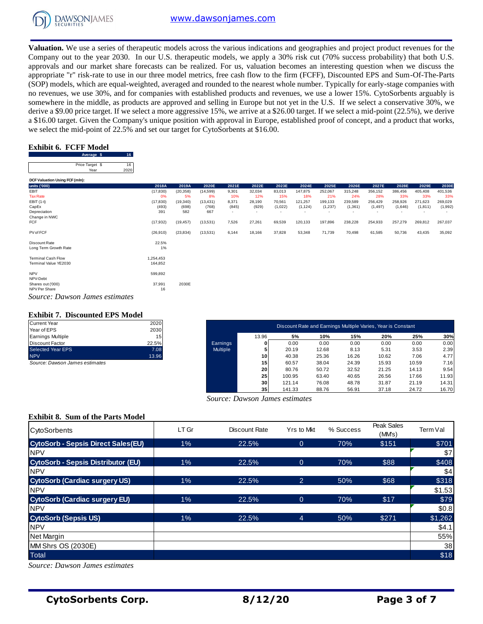

**Valuation.** We use a series of therapeutic models across the various indications and geographies and project product revenues for the Company out to the year 2030. In our U.S. therapeutic models, we apply a 30% risk cut (70% success probability) that both U.S. approvals and our market share forecasts can be realized. For us, valuation becomes an interesting question when we discuss the appropriate "r" risk-rate to use in our three model metrics, free cash flow to the firm (FCFF), Discounted EPS and Sum-Of-The-Parts (SOP) models, which are equal-weighted, averaged and rounded to the nearest whole number. Typically for early-stage companies with no revenues, we use 30%, and for companies with established products and revenues, we use a lower 15%. CytoSorbents arguably is somewhere in the middle, as products are approved and selling in Europe but not yet in the U.S. If we select a conservative 30%, we derive a \$9.00 price target. If we select a more aggressive 15%, we arrive at a \$26.00 target. If we select a mid-point (22.5%), we derive a \$16.00 target. Given the Company's unique position with approval in Europe, established proof of concept, and a product that works, we select the mid-point of 22.5% and set our target for CytoSorbents at \$16.00.<br> **Exhibit 6. FCFF Model**<br>
Price Target \$ 16<br>
Price Target \$ 16<br>  $\frac{1}{2020}$ 

## **Exhibit 6. FCFF Model**

| Average s       |  |
|-----------------|--|
|                 |  |
| Price Target \$ |  |
| Year            |  |
|                 |  |

| Average \$                     | - 10 -     |           |           |                          |                          |         |                          |                          |                          |          |         |                          |         |
|--------------------------------|------------|-----------|-----------|--------------------------|--------------------------|---------|--------------------------|--------------------------|--------------------------|----------|---------|--------------------------|---------|
| Price Target \$<br>Year        | 16<br>2020 |           |           |                          |                          |         |                          |                          |                          |          |         |                          |         |
|                                |            |           |           |                          |                          |         |                          |                          |                          |          |         |                          |         |
| DCF Valuation Using FCF (mln): |            |           |           |                          |                          |         |                          |                          |                          |          |         |                          |         |
| units ('000)                   | 2018A      | 2019A     | 2020E     | 2021E                    | 2022E                    | 2023E   | 2024E                    | 2025E                    | 2026E                    | 2027E    | 2028E   | 2029E                    | 2030E   |
| EBIT                           | (17, 830)  | (20, 358) | (14, 599) | 9,301                    | 32,034                   | 83,013  | 147,875                  | 252,067                  | 315,248                  | 356,152  | 386,456 | 405,408                  | 401,536 |
| <b>Tax Rate</b>                | 0%         | 5%        | 8%        | 10%                      | 12%                      | 15%     | 18%                      | 21%                      | 24%                      | 28%      | 33%     | 33%                      | 33%     |
| EBIT (1-t)                     | (17, 830)  | (19, 340) | (13, 431) | 8,371                    | 28,190                   | 70,561  | 121,257                  | 199,133                  | 239,589                  | 256,429  | 258,926 | 271,623                  | 269,029 |
| CapEx                          | (493)      | (698)     | (768)     | (845)                    | (929)                    | (1,022) | (1, 124)                 | (1,237)                  | (1, 361)                 | (1, 497) | (1,646) | (1, 811)                 | (1,992) |
| Depreciation                   | 391        | 582       | 667       | $\overline{\phantom{0}}$ | $\overline{\phantom{a}}$ |         | $\overline{\phantom{a}}$ | $\overline{\phantom{a}}$ | $\overline{\phantom{a}}$ |          |         | $\overline{\phantom{0}}$ |         |
| Change in NWC                  |            |           |           |                          |                          |         |                          |                          |                          |          |         |                          |         |
| <b>FCF</b>                     | (17, 932)  | (19, 457) | (13,531)  | 7,526                    | 27,261                   | 69,539  | 120,133                  | 197,896                  | 238,228                  | 254,933  | 257,279 | 269,812                  | 267,037 |
| PV of FCF                      | (26, 910)  | (23, 834) | (13,531)  | 6,144                    | 18,166                   | 37,828  | 53,348                   | 71,739                   | 70,498                   | 61,585   | 50,736  | 43,435                   | 35,092  |
| Discount Rate                  | 22.5%      |           |           |                          |                          |         |                          |                          |                          |          |         |                          |         |
| Long Term Growth Rate          | 1%         |           |           |                          |                          |         |                          |                          |                          |          |         |                          |         |
| <b>Terminal Cash Flow</b>      | 1,254,453  |           |           |                          |                          |         |                          |                          |                          |          |         |                          |         |
| Terminal Value YE2030          | 164,852    |           |           |                          |                          |         |                          |                          |                          |          |         |                          |         |
|                                |            |           |           |                          |                          |         |                          |                          |                          |          |         |                          |         |
| <b>NPV</b><br>NPV-Debt         | 599,892    |           |           |                          |                          |         |                          |                          |                          |          |         |                          |         |
| Shares out ('000)              | 37,991     | 2030E     |           |                          |                          |         |                          |                          |                          |          |         |                          |         |
| NPV Per Share                  | 16         |           |           |                          |                          |         |                          |                          |                          |          |         |                          |         |
| Source: Dawson James estimates |            |           |           |                          |                          |         |                          |                          |                          |          |         |                          |         |

#### **Exhibit 7. Discounted EPS Model**

| <b>Current Year</b>      | 2020  |
|--------------------------|-------|
| Year of EPS              | 2030  |
| <b>Earnings Multiple</b> | 15    |
| <b>Discount Factor</b>   | 22.5% |
| <b>Selected Year EPS</b> | 7.08  |
| <b>NPV</b>               | 13.96 |

| <b>Exhibit 7. Discounted EPS Model</b><br>Current Year | 2020  |                 |       |                                                              |       |       |       |       |       |
|--------------------------------------------------------|-------|-----------------|-------|--------------------------------------------------------------|-------|-------|-------|-------|-------|
| Year of EPS                                            | 2030  |                 |       | Discount Rate and Earnings Multiple Varies, Year is Constant |       |       |       |       |       |
| Earnings Multiple                                      | 15    |                 | 13.96 | 5%                                                           | 10%   | 15%   | 20%   | 25%   | 30%   |
| Discount Factor                                        | 22.5% | Earnings        |       | 0.00                                                         | 0.00  | 0.00  | 0.00  | 0.00  | 0.00  |
| Selected Year EPS                                      | 7.08  | <b>Multiple</b> |       | 20.19                                                        | 12.68 | 8.13  | 5.31  | 3.53  | 2.39  |
| <b>NPV</b>                                             | 13.96 |                 | 101   | 40.38                                                        | 25.36 | 16.26 | 10.62 | 7.06  | 4.77  |
| Source: Dawson James estimates                         |       |                 | 15    | 60.57                                                        | 38.04 | 24.39 | 15.93 | 10.59 | 7.16  |
|                                                        |       |                 | 20    | 80.76                                                        | 50.72 | 32.52 | 21.25 | 14.13 | 9.54  |
|                                                        |       |                 | 25    | 100.95                                                       | 63.40 | 40.65 | 26.56 | 17.66 | 11.93 |
|                                                        |       |                 | 30    | 121.14                                                       | 76.08 | 48.78 | 31.87 | 21.19 | 14.31 |
|                                                        |       |                 | 35    | 141.33                                                       | 88.76 | 56.91 | 37.18 | 24.72 | 16.70 |

### **Exhibit 8. Sum of the Parts Model**

| $\alpha$ and $\alpha$ provided the server a more aggressive 15%, we arrive at a \$20.00 target. If we server a mid-point (22.5%), we active<br>a \$16.00 target. Given the Company's unique position with approval in Europe, established proof of concept, and a product that works,<br>we select the mid-point of 22.5% and set our target for CytoSorbents at \$16.00. |                      |                    |                    |                |                                      |                          |                     |                                                              |                     |                     |                    |                     |                    |
|---------------------------------------------------------------------------------------------------------------------------------------------------------------------------------------------------------------------------------------------------------------------------------------------------------------------------------------------------------------------------|----------------------|--------------------|--------------------|----------------|--------------------------------------|--------------------------|---------------------|--------------------------------------------------------------|---------------------|---------------------|--------------------|---------------------|--------------------|
|                                                                                                                                                                                                                                                                                                                                                                           |                      |                    |                    |                |                                      |                          |                     |                                                              |                     |                     |                    |                     |                    |
| <b>Exhibit 6. FCFF Model</b><br>Average \$<br>16                                                                                                                                                                                                                                                                                                                          |                      |                    |                    |                |                                      |                          |                     |                                                              |                     |                     |                    |                     |                    |
| 16<br>Price Target \$<br>2020<br>Year                                                                                                                                                                                                                                                                                                                                     |                      |                    |                    |                |                                      |                          |                     |                                                              |                     |                     |                    |                     |                    |
| DCF Valuation Using FCF (mln):                                                                                                                                                                                                                                                                                                                                            |                      |                    |                    |                |                                      |                          |                     |                                                              |                     |                     |                    |                     |                    |
| units ('000)<br><b>EBIT</b>                                                                                                                                                                                                                                                                                                                                               | 2018A                | 2019A              | 2020E              | 2021E          | 2022E                                | 2023E                    | 2024E               | 2025E                                                        | 2026E               | 2027E               | 2028E              | 2029E               | 2030E              |
| <b>Tax Rate</b>                                                                                                                                                                                                                                                                                                                                                           | (17, 830)<br>0%      | (20, 358)<br>5%    | (14, 599)<br>8%    | 9,301<br>10%   | 32,034<br>12%                        | 83,013<br>15%            | 147,875<br>18%      | 252,067<br>21%                                               | 315,248<br>24%      | 356,152<br>28%      | 386,456<br>33%     | 405,408<br>33%      | 401,536<br>33%     |
| EBIT (1-t)<br>CapEx                                                                                                                                                                                                                                                                                                                                                       | (17, 830)<br>(493)   | (19, 340)<br>(698) | (13, 431)<br>(768) | 8,371<br>(845) | 28,190<br>(929)                      | 70,561<br>(1,022)        | 121,257<br>(1, 124) | 199,133<br>(1, 237)                                          | 239,589<br>(1, 361) | 256,429<br>(1, 497) | 258,926<br>(1,646) | 271,623<br>(1, 811) | 269,029<br>(1,992) |
| Depreciation<br>Change in NWC                                                                                                                                                                                                                                                                                                                                             | 391                  | 582                | 667                |                |                                      | $\overline{\phantom{a}}$ |                     |                                                              |                     |                     |                    |                     |                    |
| FCF                                                                                                                                                                                                                                                                                                                                                                       | (17, 932)            | (19, 457)          | (13,531)           | 7,526          | 27,261                               | 69,539                   | 120,133             | 197,896                                                      | 238,228             | 254,933             | 257,279            | 269,812             | 267,037            |
| PV of FCF                                                                                                                                                                                                                                                                                                                                                                 | (26, 910)            | (23, 834)          | (13,531)           | 6,144          | 18,166                               | 37,828                   | 53,348              | 71,739                                                       | 70,498              | 61,585              | 50,736             | 43,435              | 35,092             |
| Discount Rate<br>Long Term Growth Rate                                                                                                                                                                                                                                                                                                                                    | 22.5%<br>1%          |                    |                    |                |                                      |                          |                     |                                                              |                     |                     |                    |                     |                    |
| <b>Terminal Cash Flow</b><br>Terminal Value YE2030                                                                                                                                                                                                                                                                                                                        | 1,254,453<br>164,852 |                    |                    |                |                                      |                          |                     |                                                              |                     |                     |                    |                     |                    |
| <b>NPV</b><br>NPV-Debt                                                                                                                                                                                                                                                                                                                                                    | 599,892              |                    |                    |                |                                      |                          |                     |                                                              |                     |                     |                    |                     |                    |
| Shares out ('000)<br>NPV Per Share                                                                                                                                                                                                                                                                                                                                        | 37,991<br>16         | 2030E              |                    |                |                                      |                          |                     |                                                              |                     |                     |                    |                     |                    |
| Source: Dawson James estimates                                                                                                                                                                                                                                                                                                                                            |                      |                    |                    |                |                                      |                          |                     |                                                              |                     |                     |                    |                     |                    |
| <b>Exhibit 7. Discounted EPS Model</b>                                                                                                                                                                                                                                                                                                                                    |                      |                    |                    |                |                                      |                          |                     |                                                              |                     |                     |                    |                     |                    |
| <b>Current Year</b><br>Year of EPS                                                                                                                                                                                                                                                                                                                                        | 2020<br>2030         |                    |                    |                |                                      |                          |                     | Discount Rate and Earnings Multiple Varies, Year is Constant |                     |                     |                    |                     |                    |
| <b>Earnings Multiple</b>                                                                                                                                                                                                                                                                                                                                                  | 15                   |                    |                    |                | 13.96                                |                          | 5%                  | 10%                                                          | 15%                 | 20%                 |                    | 25%                 | 30%                |
| <b>Discount Factor</b>                                                                                                                                                                                                                                                                                                                                                    | 22.5%                |                    |                    | Earnings       | 0                                    |                          | 0.00                | 0.00                                                         | 0.00                | 0.00                |                    | 0.00                | 0.00               |
| <b>Selected Year EPS</b><br><b>NPV</b>                                                                                                                                                                                                                                                                                                                                    | 7.08<br>13.96        |                    |                    | Multiple       | 5<br>10                              |                          | 20.19<br>40.38      | 12.68<br>25.36                                               | 8.13<br>16.26       | 5.31<br>10.62       |                    | 3.53<br>7.06        | 2.39<br>4.77       |
| Source: Dawson James estimates                                                                                                                                                                                                                                                                                                                                            |                      |                    |                    |                | 15                                   |                          | 60.57               | 38.04                                                        | 24.39               | 15.93               |                    | 10.59               | 7.16               |
|                                                                                                                                                                                                                                                                                                                                                                           |                      |                    |                    |                | 20<br>25                             | 100.95                   | 80.76               | 50.72<br>63.40                                               | 32.52<br>40.65      | 21.25<br>26.56      |                    | 14.13<br>17.66      | 9.54<br>11.93      |
|                                                                                                                                                                                                                                                                                                                                                                           |                      |                    |                    |                | 30                                   | 121.14                   |                     | 76.08                                                        | 48.78               | 31.87               |                    | 21.19               | 14.31              |
|                                                                                                                                                                                                                                                                                                                                                                           |                      |                    |                    |                | 35<br>Source: Dawson James estimates | 141.33                   |                     | 88.76                                                        | 56.91               | 37.18               |                    | 24.72               | 16.70              |
|                                                                                                                                                                                                                                                                                                                                                                           |                      |                    |                    |                |                                      |                          |                     |                                                              |                     |                     |                    |                     |                    |
| <b>Exhibit 8. Sum of the Parts Model</b>                                                                                                                                                                                                                                                                                                                                  |                      |                    |                    |                |                                      |                          |                     |                                                              |                     |                     | Peak Sales         |                     |                    |
| CytoSorbents                                                                                                                                                                                                                                                                                                                                                              |                      | LT Gr              |                    |                | Discount Rate                        |                          | Yrs to Mkt          |                                                              | % Success           |                     | (MMs)              | Term Val            |                    |
| <b>CytoSorb - Sepsis Direct Sales(EU)</b><br><b>NPV</b>                                                                                                                                                                                                                                                                                                                   |                      | 1%                 |                    |                | 22.5%                                |                          | $\overline{0}$      |                                                              | 70%                 |                     | \$151              |                     | \$701              |
| <b>CytoSorb - Sepsis Distributor (EU)</b>                                                                                                                                                                                                                                                                                                                                 |                      | $1\%$              |                    |                | 22.5%                                |                          | $\mathbf{0}$        |                                                              | 70%                 |                     | \$88               |                     | \$7<br>\$408       |
| <b>NPV</b>                                                                                                                                                                                                                                                                                                                                                                |                      |                    |                    |                |                                      |                          |                     |                                                              |                     |                     |                    |                     | \$4                |
| <b>CytoSorb (Cardiac surgery US)</b>                                                                                                                                                                                                                                                                                                                                      |                      | 1%                 |                    |                | 22.5%                                |                          | $\overline{2}$      |                                                              | 50%                 |                     | \$68               |                     | \$318              |
| <b>NPV</b>                                                                                                                                                                                                                                                                                                                                                                |                      |                    |                    |                |                                      |                          |                     |                                                              |                     |                     |                    |                     | \$1.53             |
| <b>CytoSorb (Cardiac surgery EU)</b>                                                                                                                                                                                                                                                                                                                                      |                      | $1\%$              |                    |                | 22.5%                                |                          | $\mathbf 0$         |                                                              | 70%                 |                     | \$17               |                     | \$79               |
| <b>NPV</b>                                                                                                                                                                                                                                                                                                                                                                |                      |                    |                    |                |                                      |                          |                     |                                                              |                     |                     |                    |                     | \$0.8              |
| <b>CytoSorb (Sepsis US)</b>                                                                                                                                                                                                                                                                                                                                               |                      | 1%                 |                    |                | 22.5%                                |                          | $\overline{4}$      |                                                              | 50%                 |                     | \$271              |                     | \$1,262            |
| <b>NPV</b>                                                                                                                                                                                                                                                                                                                                                                |                      |                    |                    |                |                                      |                          |                     |                                                              |                     |                     |                    |                     | \$4.1              |
| Net Margin                                                                                                                                                                                                                                                                                                                                                                |                      |                    |                    |                |                                      |                          |                     |                                                              |                     |                     |                    |                     | 55%                |
| MM Shrs OS (2030E)                                                                                                                                                                                                                                                                                                                                                        |                      |                    |                    |                |                                      |                          |                     |                                                              |                     |                     |                    |                     | 38                 |
| Total                                                                                                                                                                                                                                                                                                                                                                     |                      |                    |                    |                |                                      |                          |                     |                                                              |                     |                     |                    |                     | \$18               |
| Source: Dawson James estimates                                                                                                                                                                                                                                                                                                                                            |                      |                    |                    |                |                                      |                          |                     |                                                              |                     |                     |                    |                     |                    |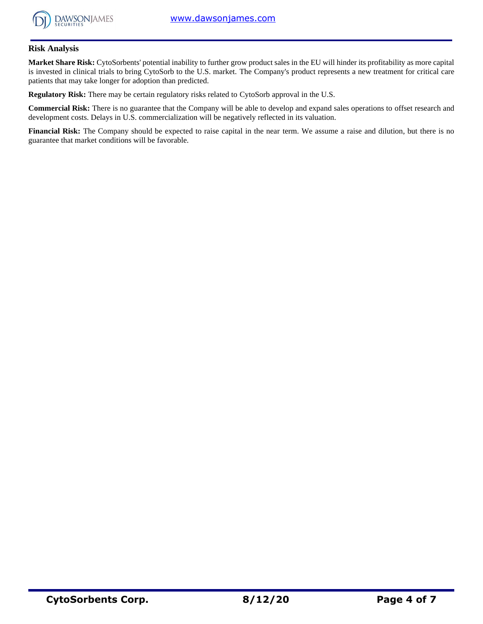

## **Risk Analysis**

**Market Share Risk:** CytoSorbents' potential inability to further grow product sales in the EU will hinder its profitability as more capital is invested in clinical trials to bring CytoSorb to the U.S. market. The Company's product represents a new treatment for critical care patients that may take longer for adoption than predicted.

**Regulatory Risk:** There may be certain regulatory risks related to CytoSorb approval in the U.S.

**Commercial Risk:** There is no guarantee that the Company will be able to develop and expand sales operations to offset research and development costs. Delays in U.S. commercialization will be negatively reflected in its valuation.

**Financial Risk:** The Company should be expected to raise capital in the near term. We assume a raise and dilution, but there is no guarantee that market conditions will be favorable.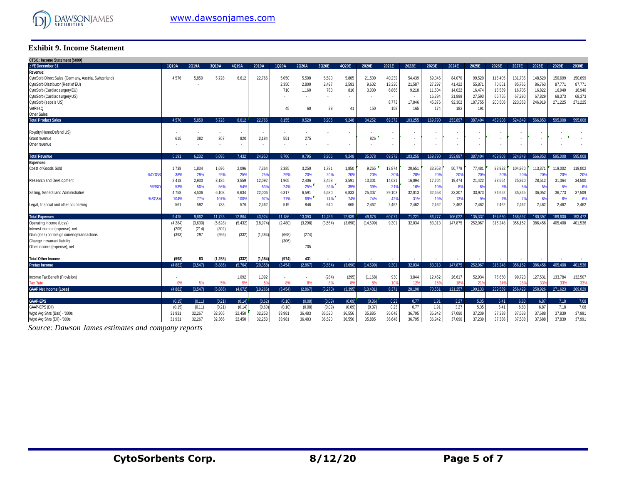

#### **Exhibit 9. Income Statement**

| CTSO.: Income Statement (\$000)<br>.: YE December 31  | 1Q19A         | 2Q19A        | 3Q19A                    | 4Q19A    | 2019A                    | 1Q20A        | 2Q20A   | 3Q20E   | 4Q20E                    | 2020E                 | 2021E                    | 2022E           | 2023E   | 2024E        | 2025E                    | 2026E           | 2027E   | 2028E           | 2029E       | 2030E                    |
|-------------------------------------------------------|---------------|--------------|--------------------------|----------|--------------------------|--------------|---------|---------|--------------------------|-----------------------|--------------------------|-----------------|---------|--------------|--------------------------|-----------------|---------|-----------------|-------------|--------------------------|
|                                                       |               |              |                          |          |                          |              |         |         |                          |                       |                          |                 |         |              |                          |                 |         |                 |             |                          |
| Revenue:                                              |               |              |                          |          | 22.766                   |              |         |         |                          |                       |                          |                 |         | 84.070       |                          |                 |         |                 | 150.699     |                          |
| CytoSorb Direct Sales (Germany, Austria, Switzerland) | 4,576         | 5,850        | 5,728                    | 6,612    |                          | 5,050        | 5.500   | 5,590   | 5,805                    | 21,500                | 40,239                   | 54,439          | 69,046  |              | 99,520                   | 115,405         | 131,735 | 148,520         |             | 150,699                  |
| CytoSorb Distributor (Rest of EU)                     |               |              |                          |          |                          | 2,350        | 2,800   | 2,497   | 2,593                    | 9,602                 | 13,336                   | 21,587          | 27,297  | 41,422       | 55,87                    | 70,651          | 85,766  | 86,763          | 87,771      | 87,771                   |
| CytoSorb (Cardiac surgery EU)                         |               |              |                          |          |                          | 710          | 1.160   | 780     | 810                      | 3,000                 | 6,866                    | 9,218           | 11,604  | 14.022       | 16,474                   | 16,589          | 16.705  | 16,822          | 16,940      | 16,940                   |
| CytoSorb (Cardiac surgery US)                         |               |              |                          |          |                          |              |         |         |                          |                       | $\overline{\phantom{a}}$ | $\sim$          | 16,294  | 21.899       | 27,593                   | 66,755          | 67,290  | 67,829          | 68,373      | 68,373                   |
| CytoSorb (sepsis US)                                  |               |              |                          |          |                          |              |         |         |                          |                       | 8,773                    | 17,846          | 45,376  | 92,302       | 187,755                  | 200,508         | 223,353 | 246,919         | 271,225     | 271,225                  |
| VetResQ                                               |               |              |                          |          |                          | 45           | 60      | 39      | 41                       | 150                   | 158                      | 165             | 174     | 182          | 191                      |                 |         |                 |             |                          |
| <b>Other Sales</b>                                    |               |              |                          |          |                          |              |         |         |                          |                       |                          |                 |         |              |                          |                 |         |                 |             |                          |
| <b>Total Product Sales</b>                            | 4.576         | 5.850        | 5.728                    | 6.612    | 22.766                   | 8.155        | 9.520   | 8.906   | 9.248                    | 34.252                | 69.372                   | 103.255         | 169.790 | 253,897      | 387.404                  | 469.908         | 524.849 | 566.853         | 595,008     | 595.008                  |
|                                                       |               |              |                          |          |                          |              |         |         |                          |                       |                          |                 |         |              |                          |                 |         |                 |             |                          |
| Royalty (HemoDefend US)                               |               |              |                          | ٠        |                          |              |         |         |                          |                       | . .                      |                 |         |              |                          |                 |         |                 |             |                          |
| Grant revenue                                         | 615           | 382          | 367                      | 820      | 2,184                    | 551          | 275     |         |                          | 826                   | $\overline{\phantom{a}}$ | ٠               |         |              |                          | ٠               |         |                 |             |                          |
| Other revenue                                         |               |              | $\overline{\phantom{a}}$ | ٠        | $\overline{\phantom{a}}$ | ٠            |         |         | $\overline{\phantom{a}}$ | ٠                     | $\overline{\phantom{a}}$ | $\sim$          |         |              | $\overline{\phantom{a}}$ | ٠               |         | $\overline{a}$  |             | $\overline{\phantom{a}}$ |
| <b>Total Revenue</b>                                  | 5.191         | 6.232        | 6.095                    | 7.432    | 24.950                   | 8.706        | 9.795   | 8.906   | 9.248                    | 35.078                | 69.372                   | 103.255         | 169.790 | 253.897      | 387.404                  | 469,908         | 524.849 | 566.853         | 595.008     | 595.008                  |
| <b>Expenses:</b>                                      |               |              |                          |          |                          |              |         |         |                          |                       |                          |                 |         |              |                          |                 |         |                 |             |                          |
| Costs of Goods Sold                                   | 1,738         | 1,834        | 1,696                    | 2,096    | 7,364                    | 2,385        | 3,250   | 1,781   | 1,850                    | 9,265                 | 13,874                   | 20,651          | 33,958  | 50.779       | 77,481                   | 93,982          | 104,970 | 113,371         | 119.002     | 119,002                  |
| %COGS                                                 | 38%           | 29%          | 25%                      | 25%      | 25%                      | 29%          | 20%     | 20%     | 20%                      | 20%                   | 20%                      | 20%             | 20%     | 20%          | 20%                      | 20%             | 20%     | 20%             | 20%         | 20%                      |
| Research and Development                              | 2,418         | 2,930        | 3,185                    | 3,559    | 12,092                   | 1,965        | 2,406   | 3,458   | 3,591                    | 13,301                | 14,631                   | 16,094          | 17,704  | 19,474       | 21,422                   | 23,564          | 25,920  | 28,512          | 31,364      | 34,500                   |
| %R&I                                                  |               |              | 56%                      | 54%      | 53%                      | 24%          | 25%     | 39%     | 39%                      | 39%                   |                          | 16%             | 10%     | 8%           |                          | 5%              | 5%      |                 | 5%          | 6%                       |
|                                                       | 53%           | 50%          |                          | 6,634    | 22,006                   |              | 6,591   | 6,580   | 6,833                    | 25,307                | 21%<br>29,103            | 32,013          | 32,653  | 33,307       | 6%<br>33,973             | 34,652          | 35,345  | 5%<br>36,052    |             | 37,509                   |
| Selling, General and Administrative<br>%SG&           | 4,758<br>104% | 4,506<br>77% | 6,108<br>107%            | 100%     | 97%                      | 6,317<br>77% | 69%     | 74%     | 74%                      | 74%                   | 42%                      | 31%             | 19%     | 13%          | 9%                       | 7%              |         |                 | 36,773<br>6 | 6%                       |
|                                                       |               |              |                          |          |                          |              |         |         |                          |                       |                          |                 |         |              |                          |                 | - 7%    | 6%              |             |                          |
| Legal, financial and other counseling                 | 561           | 592          | 733                      | 576      | 2,462                    | 519          | 846     | 640     | 665                      | 2,462                 | 2,462                    | 2,462           | 2,462   | 2,462        | 2,462                    | 2,462           | 2,462   | 2,462           | 2,462       | 2,462                    |
| <b>Total Expenses</b>                                 | 9.475         | 9.862        | 11.723                   | 12.864   | 43.924                   | 11.186       | 13.093  | 12.459  | 12.939                   | 49.676                | 60.071                   | 71.221          | 86.777  | 106.022      | 135.337                  | 154,660         | 168.697 | 180.397         | 189.600     | 193.472                  |
| Operating Income (Loss)                               | (4, 284)      | (3,630)      | (5,628)                  | (5, 432) | 18,974                   | (2,480)      | (3,298) | (3,554) | (3,690)                  | (14, 599)             | 9.301                    | 32,034          | 83.013  | 147.875      | 252.067                  | 315,248         | 356,152 | 386.456         | 405.408     | 401,536                  |
| Interest income (expense), net                        | (205)         | (214)        | (302)                    |          |                          |              |         |         |                          |                       |                          |                 |         |              |                          |                 |         |                 |             |                          |
| Gain (loss) on foreign currency transactions          | (393)         | 297          | (956)                    | (332)    | (1, 384)                 | (668)        | (274)   |         |                          |                       |                          |                 |         |              |                          |                 |         |                 |             |                          |
| Change in warrant liability                           |               |              |                          |          |                          | (306)        |         |         |                          |                       |                          |                 |         |              |                          |                 |         |                 |             |                          |
| Other income (expense), net                           |               |              |                          |          |                          |              | 705     |         |                          |                       |                          |                 |         |              |                          |                 |         |                 |             |                          |
|                                                       |               |              |                          |          |                          |              |         |         |                          |                       |                          |                 |         |              |                          |                 |         |                 |             |                          |
| <b>Total Other Income</b>                             | (598)         | 83           | (1,258)                  | (332)    | (1, 384)                 | (974)        | 431     |         |                          |                       |                          |                 |         |              |                          |                 |         |                 |             |                          |
| <b>Pretax Income</b>                                  | (4.882)       | (3.547)      | (6.886)                  | (5,764)  | (20.358)                 | (3.454)      | (2.867) | (3.554) | (3.690)                  | (14.599)              | 9.301                    | 32.034          | 83.013  | 147.875      | 252.067                  | 315.248         | 356.152 | 386,456         | 405.408     | 401.536                  |
|                                                       |               |              |                          |          |                          |              |         |         |                          |                       |                          |                 |         |              |                          |                 |         |                 |             |                          |
| Income Tax Benefit (Provision)                        |               |              |                          | 1,092    | 1,092                    |              |         | (284)   | (295)                    | (1, 168)              | 930                      | 3,844           | 12,452  | 26.617       | 52,934                   | 75,660          | 99,723  | 127,531         | 133.784     | 132,507                  |
| <b>Tax Rate</b>                                       |               | 5%           | 5%                       |          | 59                       | 8%           | 8%      | 8%      | $R^{\prime}$             | <b>R</b> <sup>Q</sup> | 10 <sup>1</sup>          | 12 <sup>9</sup> | 159     | 189          | 21                       | 24 <sup>°</sup> | 28'     | 33 <sup>0</sup> | 33'         | 339                      |
| <b>GAAP Net Income (Loss)</b>                         | (4.882)       | (3.547)      | (6.886)                  | (4,672)  | (19, 266)                | (3.454)      | (2.867) | (3.270) | (3.395)                  | (13, 431)             | 8.371                    | 28,190          | 70,561  | 121.257      | 199.133                  | 239.589         | 256,429 | 258,926         | 271.623     | 269,029                  |
| <b>GAAP-EPS</b>                                       |               | (0.11)       |                          |          |                          |              | (0.08)  |         |                          |                       | 0.23                     |                 |         |              | 5.35                     | 6.41            |         | 6.87            | 7.18        |                          |
| GAAP-EPS (Dil)                                        | (0.15)        |              | (0.21)                   | (0.14)   | (0.62)                   | (0.10)       |         | (0.09)  | (0.09)                   | (0.36)<br>(0.37)      | 0.23                     | 0.77<br>0.77    | 1.91    | 3.27<br>3.27 | 5.35                     |                 | 6.83    | 6.87            | 7.18        | 7.08<br>7.08             |
|                                                       | (0.15)        | (0.11)       | (0.21)                   | (0.14)   | (0.60)                   | (0.10)       | (0.08)  | (0.09)  | (0.09)                   |                       |                          |                 | 1.91    |              |                          | 6.41            | 6.83    |                 |             |                          |
| Wgtd Avg Shrs (Bas) - '000s                           | 31,931        | 32,267       | 32,366                   | 32,450   | 32,253                   | 33,981       | 36,483  | 36,520  | 36,556                   | 35,885                | 36,648                   | 36,795          | 36,942  | 37,090       | 37,239                   | 37,388          | 37,538  | 37,688          | 37.839      | 37,991                   |
| Watd Ava Shrs (Dil) - '000s                           | 31.931        | 32.267       | 32.366                   | 32.450   | 32.253                   | 33.981       | 36.483  | 36.520  | 36,556                   | 35.885                | 36.648                   | 36.795          | 36.942  | 37.090       | 37.239                   | 37,388          | 37.538  | 37,688          | 37.839      | 37,991                   |

*Source: Dawson James estimates and company reports*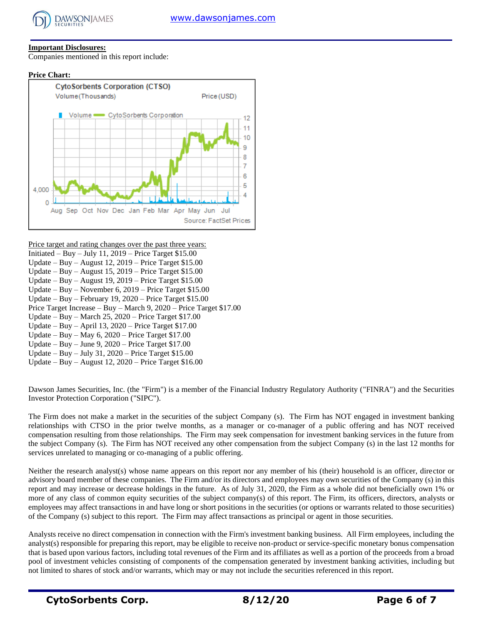

# **Important Disclosures:**

Companies mentioned in this report include:





Price target and rating changes over the past three years:

- Initiated Buy July 11,  $2019$  Price Target \$15.00
- Update Buy August 12, 2019 Price Target \$15.00
- Update Buy August 15, 2019 Price Target \$15.00 Update – Buy – August 19, 2019 – Price Target \$15.00
- Update Buy November 6, 2019 Price Target \$15.00
- Update Buy February 19, 2020 Price Target \$15.00
- Price Target Increase Buy March 9, 2020 Price Target \$17.00
- Update Buy March 25, 2020 Price Target \$17.00
- Update Buy April 13, 2020 Price Target \$17.00
- Update Buy May  $6, 2020$  Price Target \$17.00
- Update Buy June 9, 2020 Price Target \$17.00
- Update Buy July 31, 2020 Price Target \$15.00
- Update Buy August 12, 2020 Price Target \$16.00

Dawson James Securities, Inc. (the "Firm") is a member of the Financial Industry Regulatory Authority ("FINRA") and the Securities Investor Protection Corporation ("SIPC").

The Firm does not make a market in the securities of the subject Company (s). The Firm has NOT engaged in investment banking relationships with CTSO in the prior twelve months, as a manager or co-manager of a public offering and has NOT received compensation resulting from those relationships. The Firm may seek compensation for investment banking services in the future from the subject Company (s). The Firm has NOT received any other compensation from the subject Company (s) in the last 12 months for services unrelated to managing or co-managing of a public offering.

Neither the research analyst(s) whose name appears on this report nor any member of his (their) household is an officer, director or advisory board member of these companies. The Firm and/or its directors and employees may own securities of the Company (s) in this report and may increase or decrease holdings in the future. As of July 31, 2020, the Firm as a whole did not beneficially own 1% or more of any class of common equity securities of the subject company(s) of this report. The Firm, its officers, directors, analysts or employees may affect transactions in and have long or short positions in the securities (or options or warrants related to those securities) of the Company (s) subject to this report. The Firm may affect transactions as principal or agent in those securities.

Analysts receive no direct compensation in connection with the Firm's investment banking business. All Firm employees, including the analyst(s) responsible for preparing this report, may be eligible to receive non-product or service-specific monetary bonus compensation that is based upon various factors, including total revenues of the Firm and its affiliates as well as a portion of the proceeds from a broad pool of investment vehicles consisting of components of the compensation generated by investment banking activities, including but not limited to shares of stock and/or warrants, which may or may not include the securities referenced in this report.